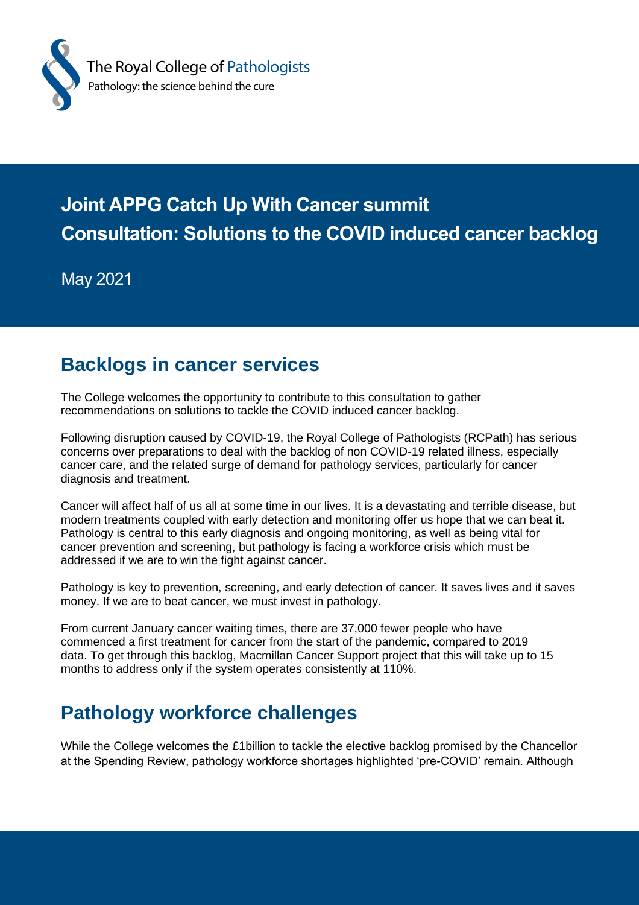

# **Joint APPG Catch Up With Cancer summit Consultation: Solutions to the COVID induced cancer backlog**

May 2021

### **Backlogs in cancer services**

The College welcomes the opportunity to contribute to this consultation to gather recommendations on solutions to tackle the COVID induced cancer backlog.

Following disruption caused by COVID-19, the Royal College of Pathologists (RCPath) has serious concerns over preparations to deal with the backlog of non COVID-19 related illness, especially cancer care, and the related surge of demand for pathology services, particularly for cancer diagnosis and treatment.

Cancer will affect half of us all at some time in our lives. It is a devastating and terrible disease, but modern treatments coupled with early detection and monitoring offer us hope that we can beat it. Pathology is central to this early diagnosis and ongoing monitoring, as well as being vital for cancer prevention and screening, but pathology is facing a workforce crisis which must be addressed if we are to win the fight against cancer.

Pathology is key to prevention, screening, and early detection of cancer. It saves lives and it saves money. If we are to beat cancer, we must invest in pathology.

From current January cancer waiting times, there are 37,000 fewer people who have commenced a first treatment for cancer from the start of the pandemic, compared to 2019 data. To get through this backlog, Macmillan Cancer Support project that this will take up to 15 months to address only if the system operates consistently at 110%.

## **Pathology workforce challenges**

While the College welcomes the £1billion to tackle the elective backlog promised by the Chancellor at the Spending Review, pathology workforce shortages highlighted 'pre-COVID' remain. Although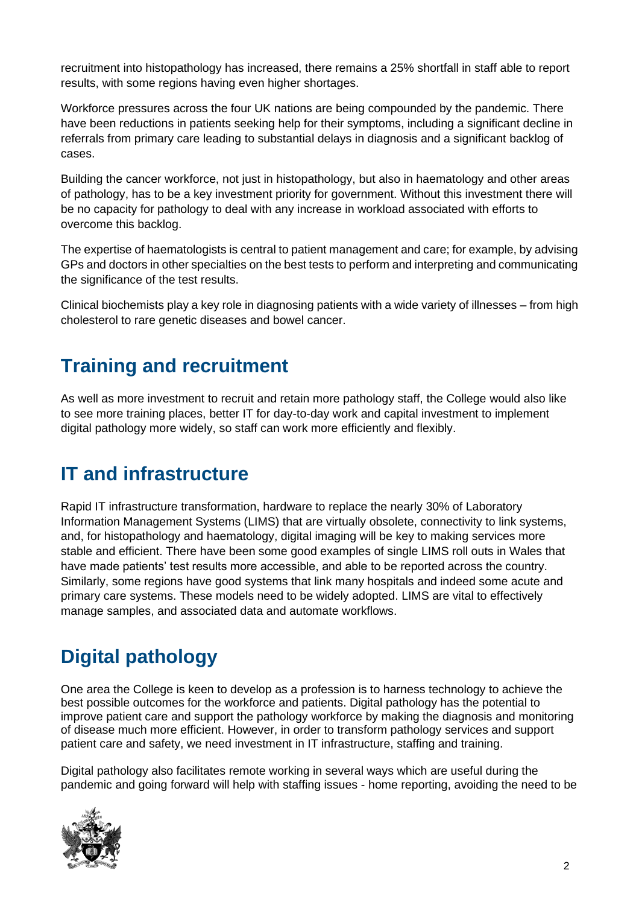recruitment into histopathology has increased, there remains a 25% shortfall in staff able to report results, with some regions having even higher shortages.

Workforce pressures across the four UK nations are being compounded by the pandemic. There have been reductions in patients seeking help for their symptoms, including a significant decline in referrals from primary care leading to substantial delays in diagnosis and a significant backlog of cases.

Building the cancer workforce, not just in histopathology, but also in haematology and other areas of pathology, has to be a key investment priority for government. Without this investment there will be no capacity for pathology to deal with any increase in workload associated with efforts to overcome this backlog.

The expertise of haematologists is central to patient management and care; for example, by advising GPs and doctors in other specialties on the best tests to perform and interpreting and communicating the significance of the test results.

Clinical biochemists play a key role in diagnosing patients with a wide variety of illnesses – from high cholesterol to rare genetic diseases and bowel cancer.

## **Training and recruitment**

As well as more investment to recruit and retain more pathology staff, the College would also like to see more training places, better IT for day-to-day work and capital investment to implement digital pathology more widely, so staff can work more efficiently and flexibly.

## **IT and infrastructure**

Rapid IT infrastructure transformation, hardware to replace the nearly 30% of Laboratory Information Management Systems (LIMS) that are virtually obsolete, connectivity to link systems, and, for histopathology and haematology, digital imaging will be key to making services more stable and efficient. There have been some good examples of single LIMS roll outs in Wales that have made patients' test results more accessible, and able to be reported across the country. Similarly, some regions have good systems that link many hospitals and indeed some acute and primary care systems. These models need to be widely adopted. LIMS are vital to effectively manage samples, and associated data and automate workflows.

## **Digital pathology**

One area the College is keen to develop as a profession is to harness technology to achieve the best possible outcomes for the workforce and patients. Digital pathology has the potential to improve patient care and support the pathology workforce by making the diagnosis and monitoring of disease much more efficient. However, in order to transform pathology services and support patient care and safety, we need investment in IT infrastructure, staffing and training.

Digital pathology also facilitates remote working in several ways which are useful during the pandemic and going forward will help with staffing issues - home reporting, avoiding the need to be

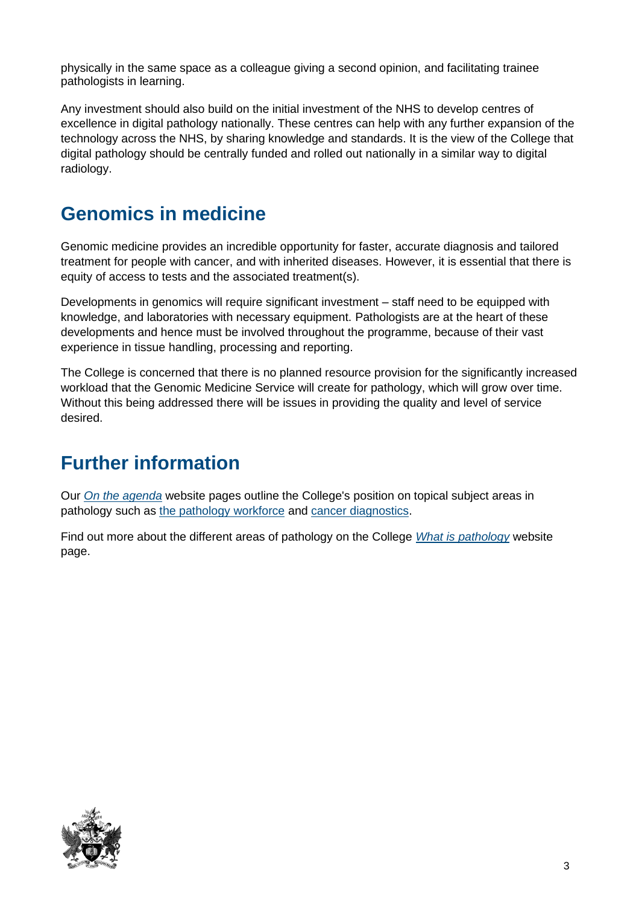physically in the same space as a colleague giving a second opinion, and facilitating trainee pathologists in learning.

Any investment should also build on the initial investment of the NHS to [develop centres of](https://www.gov.uk/government/news/artificial-intelligence-to-help-save-lives-at-five-new-technology-centres)  [excellence in digital pathology](https://www.gov.uk/government/news/artificial-intelligence-to-help-save-lives-at-five-new-technology-centres) nationally. These centres can help with any further expansion of the technology across the NHS, by sharing knowledge and standards. It is the view of the College that digital pathology should be centrally funded and rolled out nationally in a similar way to digital radiology.

### **Genomics in medicine**

Genomic medicine provides an incredible opportunity for faster, accurate diagnosis and tailored treatment for people with cancer, and with inherited diseases. However, it is essential that there is equity of access to tests and the associated treatment(s).

Developments in genomics will require significant investment – staff need to be equipped with knowledge, and laboratories with necessary equipment. Pathologists are at the heart of these developments and hence must be involved throughout the programme, because of their vast experience in tissue handling, processing and reporting.

The College is concerned that there is no planned resource provision for the significantly increased workload that the Genomic Medicine Service will create for pathology, which will grow over time. Without this being addressed there will be issues in providing the quality and level of service desired.

## **Further information**

Our *[On the agenda](https://www.rcpath.org/profession/on-the-agenda.html)* website pages outline the College's position on topical subject areas in pathology such as [the pathology workforce](https://www.rcpath.org/discover-pathology/public-affairs/the-pathology-workforce.html) and [cancer diagnostics.](https://www.rcpath.org/discover-pathology/public-affairs/cancer-diagnostics.html)

Find out more about the different areas of pathology on the College *[What is pathology](https://www.rcpath.org/discover-pathology/what-is-pathology.html)* website page.